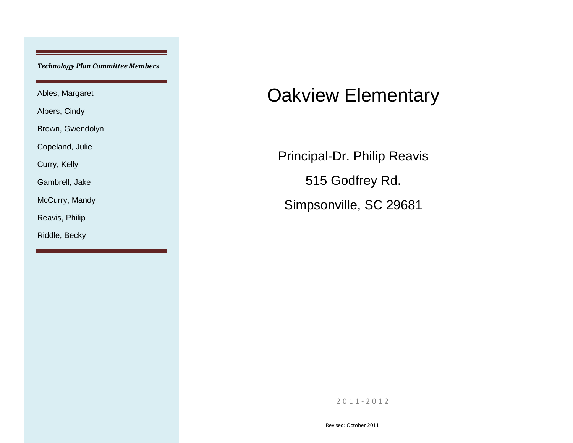*Technology Plan Committee Members*

Ables, Margaret

Alpers, Cindy

Brown, Gwendolyn

Copeland, Julie

Curry, Kelly

Gambrell, Jake

McCurry, Mandy

Reavis, Philip

Riddle, Becky

# Oakview Elementary

Principal-Dr. Philip Reavis 515 Godfrey Rd. Simpsonville, SC 29681

**1 |** P a g e 2 0 1 1 - 2 0 1 2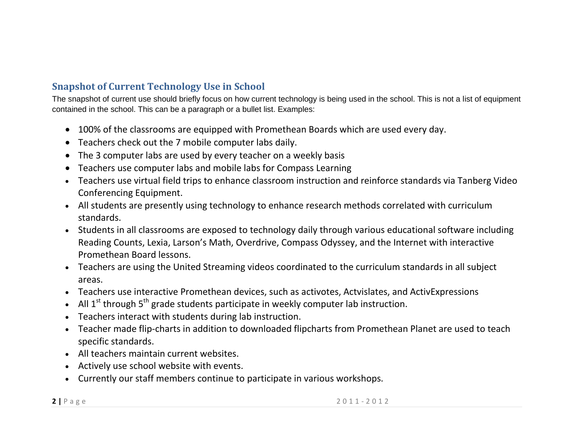# **Snapshot of Current Technology Use in School**

The snapshot of current use should briefly focus on how current technology is being used in the school. This is not a list of equipment contained in the school. This can be a paragraph or a bullet list. Examples:

- 100% of the classrooms are equipped with Promethean Boards which are used every day.
- Teachers check out the 7 mobile computer labs daily.
- The 3 computer labs are used by every teacher on a weekly basis
- Teachers use computer labs and mobile labs for Compass Learning
- Teachers use virtual field trips to enhance classroom instruction and reinforce standards via Tanberg Video Conferencing Equipment.
- All students are presently using technology to enhance research methods correlated with curriculum standards.
- Students in all classrooms are exposed to technology daily through various educational software including Reading Counts, Lexia, Larson's Math, Overdrive, Compass Odyssey, and the Internet with interactive Promethean Board lessons.
- Teachers are using the United Streaming videos coordinated to the curriculum standards in all subject areas.
- Teachers use interactive Promethean devices, such as activotes, Actvislates, and ActivExpressions
- All  $1<sup>st</sup>$  through  $5<sup>th</sup>$  grade students participate in weekly computer lab instruction.
- Teachers interact with students during lab instruction.
- Teacher made flip-charts in addition to downloaded flipcharts from Promethean Planet are used to teach specific standards.
- All teachers maintain current websites.
- Actively use school website with events.
- Currently our staff members continue to participate in various workshops.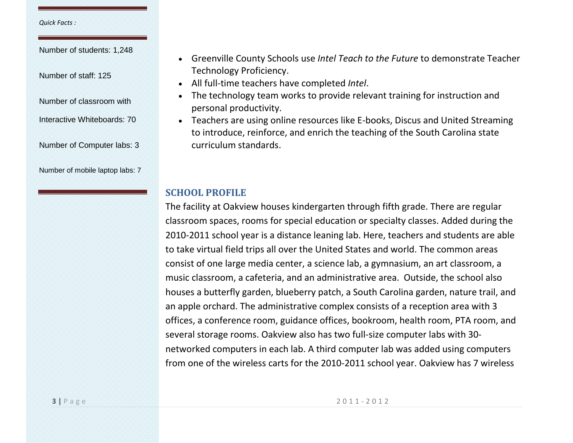#### *Quick Facts :*

Number of students: 1,248

Number of staff: 125

Number of classroom with

Interactive Whiteboards: 70

Number of Computer labs: 3

Number of mobile laptop labs: 7

- Greenville County Schools use *Intel Teach to the Future* to demonstrate Teacher Technology Proficiency.
- All full-time teachers have completed *Intel*.
- The technology team works to provide relevant training for instruction and personal productivity.
- Teachers are using online resources like E-books, Discus and United Streaming to introduce, reinforce, and enrich the teaching of the South Carolina state curriculum standards.

#### **SCHOOL PROFILE**

The facility at Oakview houses kindergarten through fifth grade. There are regular classroom spaces, rooms for special education or specialty classes. Added during the 2010-2011 school year is a distance leaning lab. Here, teachers and students are able to take virtual field trips all over the United States and world. The common areas consist of one large media center, a science lab, a gymnasium, an art classroom, a music classroom, a cafeteria, and an administrative area. Outside, the school also houses a butterfly garden, blueberry patch, a South Carolina garden, nature trail, and an apple orchard. The administrative complex consists of a reception area with 3 offices, a conference room, guidance offices, bookroom, health room, PTA room, and several storage rooms. Oakview also has two full-size computer labs with 30 networked computers in each lab. A third computer lab was added using computers from one of the wireless carts for the 2010-2011 school year. Oakview has 7 wireless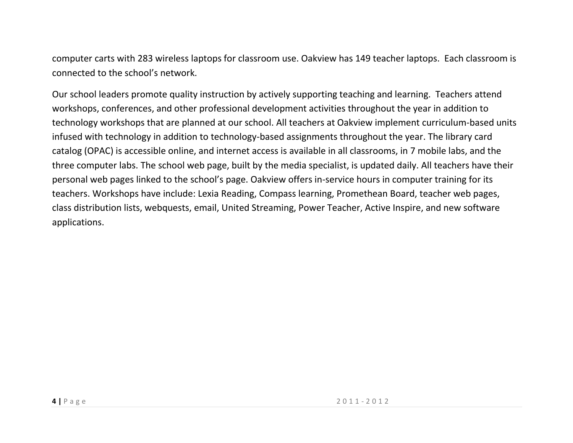computer carts with 283 wireless laptops for classroom use. Oakview has 149 teacher laptops. Each classroom is connected to the school's network.

Our school leaders promote quality instruction by actively supporting teaching and learning. Teachers attend workshops, conferences, and other professional development activities throughout the year in addition to technology workshops that are planned at our school. All teachers at Oakview implement curriculum-based units infused with technology in addition to technology-based assignments throughout the year. The library card catalog (OPAC) is accessible online, and internet access is available in all classrooms, in 7 mobile labs, and the three computer labs. The school web page, built by the media specialist, is updated daily. All teachers have their personal web pages linked to the school's page. Oakview offers in-service hours in computer training for its teachers. Workshops have include: Lexia Reading, Compass learning, Promethean Board, teacher web pages, class distribution lists, webquests, email, United Streaming, Power Teacher, Active Inspire, and new software applications.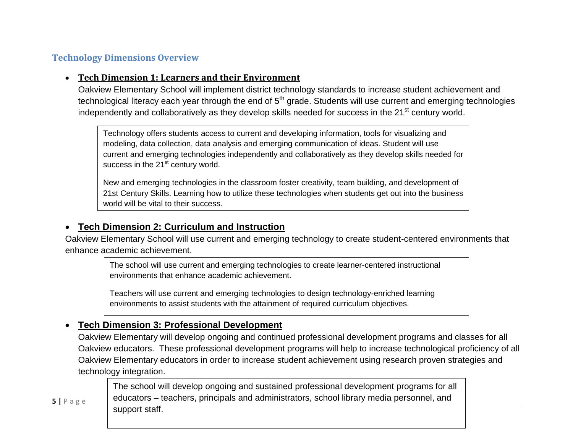#### **Technology Dimensions Overview**

#### **Tech Dimension 1: Learners and their Environment**

Oakview Elementary School will implement district technology standards to increase student achievement and technological literacy each year through the end of  $5<sup>th</sup>$  grade. Students will use current and emerging technologies independently and collaboratively as they develop skills needed for success in the 21<sup>st</sup> century world.

Technology offers students access to current and developing information, tools for visualizing and modeling, data collection, data analysis and emerging communication of ideas. Student will use current and emerging technologies independently and collaboratively as they develop skills needed for success in the  $21<sup>st</sup>$  century world.

New and emerging technologies in the classroom foster creativity, team building, and development of 21st Century Skills. Learning how to utilize these technologies when students get out into the business world will be vital to their success.

## **Tech Dimension 2: Curriculum and Instruction**

Oakview Elementary School will use current and emerging technology to create student-centered environments that enhance academic achievement.

The school will use current and emerging technologies to create learner-centered instructional environments that enhance academic achievement.

Teachers will use current and emerging technologies to design technology-enriched learning environments to assist students with the attainment of required curriculum objectives.

## **Tech Dimension 3: Professional Development**

Oakview Elementary will develop ongoing and continued professional development programs and classes for all Oakview educators. These professional development programs will help to increase technological proficiency of all Oakview Elementary educators in order to increase student achievement using research proven strategies and technology integration.

**5** | P a g e 20  $\blacksquare$  educators – teachers, principals and administrators, school library media personnel, and The school will develop ongoing and sustained professional development programs for all support staff.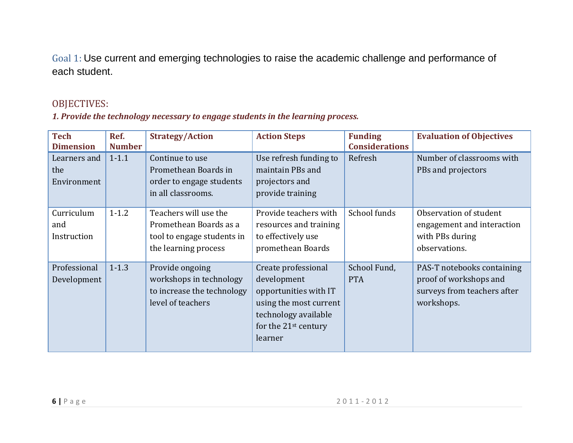Goal 1: Use current and emerging technologies to raise the academic challenge and performance of each student.

# OBJECTIVES:

#### *1. Provide the technology necessary to engage students in the learning process.*

| <b>Tech</b><br><b>Dimension</b>    | Ref.<br><b>Number</b> | <b>Strategy/Action</b>                                                                                | <b>Action Steps</b>                                                                                                                                          | <b>Funding</b><br><b>Considerations</b> | <b>Evaluation of Objectives</b>                                                                   |
|------------------------------------|-----------------------|-------------------------------------------------------------------------------------------------------|--------------------------------------------------------------------------------------------------------------------------------------------------------------|-----------------------------------------|---------------------------------------------------------------------------------------------------|
| Learners and<br>the<br>Environment | $1 - 1.1$             | Continue to use<br>Promethean Boards in<br>order to engage students<br>in all classrooms.             | Use refresh funding to<br>maintain PBs and<br>projectors and<br>provide training                                                                             | Refresh                                 | Number of classrooms with<br>PBs and projectors                                                   |
| Curriculum<br>and<br>Instruction   | $1 - 1.2$             | Teachers will use the<br>Promethean Boards as a<br>tool to engage students in<br>the learning process | Provide teachers with<br>resources and training<br>to effectively use<br>promethean Boards                                                                   | School funds                            | Observation of student<br>engagement and interaction<br>with PBs during<br>observations.          |
| Professional<br>Development        | $1 - 1.3$             | Provide ongoing<br>workshops in technology<br>to increase the technology<br>level of teachers         | Create professional<br>development<br>opportunities with IT<br>using the most current<br>technology available<br>for the 21 <sup>st</sup> century<br>learner | School Fund,<br><b>PTA</b>              | PAS-T notebooks containing<br>proof of workshops and<br>surveys from teachers after<br>workshops. |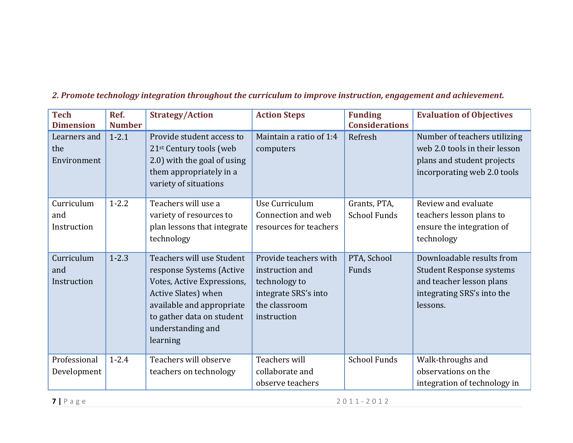| <b>Tech</b><br><b>Dimension</b>    | Ref.<br><b>Number</b> | <b>Strategy/Action</b>                                                                                                                                                                                | <b>Action Steps</b>                                                                                               | <b>Funding</b><br><b>Considerations</b> | <b>Evaluation of Objectives</b>                                                                                                    |
|------------------------------------|-----------------------|-------------------------------------------------------------------------------------------------------------------------------------------------------------------------------------------------------|-------------------------------------------------------------------------------------------------------------------|-----------------------------------------|------------------------------------------------------------------------------------------------------------------------------------|
| Learners and<br>the<br>Environment | $1 - 2.1$             | Provide student access to<br>21 <sup>st</sup> Century tools (web<br>2.0) with the goal of using<br>them appropriately in a<br>variety of situations                                                   | Maintain a ratio of 1:4<br>computers                                                                              | Refresh                                 | Number of teachers utilizing<br>web 2.0 tools in their lesson<br>plans and student projects<br>incorporating web 2.0 tools         |
| Curriculum<br>and<br>Instruction   | $1 - 2.2$             | Teachers will use a<br>variety of resources to<br>plan lessons that integrate<br>technology                                                                                                           | Use Curriculum<br>Connection and web<br>resources for teachers                                                    | Grants, PTA,<br><b>School Funds</b>     | Review and evaluate<br>teachers lesson plans to<br>ensure the integration of<br>technology                                         |
| Curriculum<br>and<br>Instruction   | $1 - 2.3$             | Teachers will use Student<br>response Systems (Active<br>Votes, Active Expressions,<br>Active Slates) when<br>available and appropriate<br>to gather data on student<br>understanding and<br>learning | Provide teachers with<br>instruction and<br>technology to<br>integrate SRS's into<br>the classroom<br>instruction | PTA, School<br>Funds                    | Downloadable results from<br><b>Student Response systems</b><br>and teacher lesson plans<br>integrating SRS's into the<br>lessons. |
| Professional<br>Development        | $1 - 2.4$             | Teachers will observe<br>teachers on technology                                                                                                                                                       | Teachers will<br>collaborate and<br>observe teachers                                                              | <b>School Funds</b>                     | Walk-throughs and<br>observations on the<br>integration of technology in                                                           |

### *2. Promote technology integration throughout the curriculum to improve instruction, engagement and achievement.*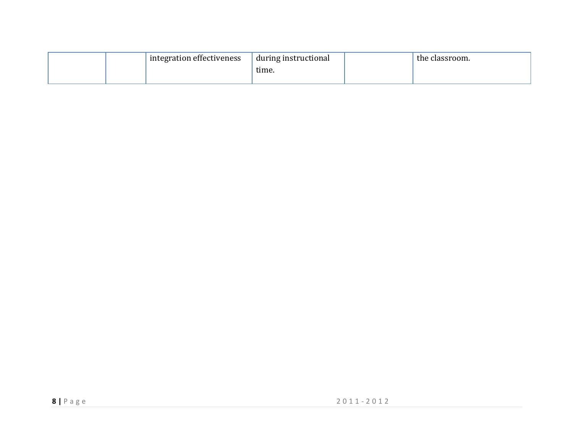|  | integration effectiveness | during instructional | the classroom. |
|--|---------------------------|----------------------|----------------|
|  |                           | time.                |                |
|  |                           |                      |                |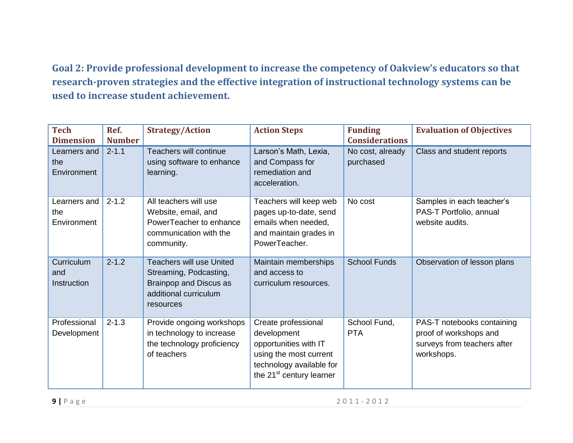**Goal 2: Provide professional development to increase the competency of Oakview's educators so that research-proven strategies and the effective integration of instructional technology systems can be used to increase student achievement.**

| <b>Tech</b><br><b>Dimension</b>    | Ref.<br><b>Number</b> | <b>Strategy/Action</b>                                                                                                    | <b>Action Steps</b>                                                                                                                                       | <b>Funding</b><br><b>Considerations</b> | <b>Evaluation of Objectives</b>                                                                   |
|------------------------------------|-----------------------|---------------------------------------------------------------------------------------------------------------------------|-----------------------------------------------------------------------------------------------------------------------------------------------------------|-----------------------------------------|---------------------------------------------------------------------------------------------------|
| Learners and<br>the<br>Environment | $2 - 1.1$             | Teachers will continue<br>using software to enhance<br>learning.                                                          | Larson's Math, Lexia,<br>and Compass for<br>remediation and<br>acceleration.                                                                              | No cost, already<br>purchased           | Class and student reports                                                                         |
| Learners and<br>the<br>Environment | $2 - 1.2$             | All teachers will use<br>Website, email, and<br>PowerTeacher to enhance<br>communication with the<br>community.           | Teachers will keep web<br>pages up-to-date, send<br>emails when needed,<br>and maintain grades in<br>PowerTeacher.                                        | No cost                                 | Samples in each teacher's<br>PAS-T Portfolio, annual<br>website audits.                           |
| Curriculum<br>and<br>Instruction   | $2 - 1.2$             | <b>Teachers will use United</b><br>Streaming, Podcasting,<br>Brainpop and Discus as<br>additional curriculum<br>resources | Maintain memberships<br>and access to<br>curriculum resources.                                                                                            | <b>School Funds</b>                     | Observation of lesson plans                                                                       |
| Professional<br>Development        | $2 - 1.3$             | Provide ongoing workshops<br>in technology to increase<br>the technology proficiency<br>of teachers                       | Create professional<br>development<br>opportunities with IT<br>using the most current<br>technology available for<br>the 21 <sup>st</sup> century learner | School Fund,<br><b>PTA</b>              | PAS-T notebooks containing<br>proof of workshops and<br>surveys from teachers after<br>workshops. |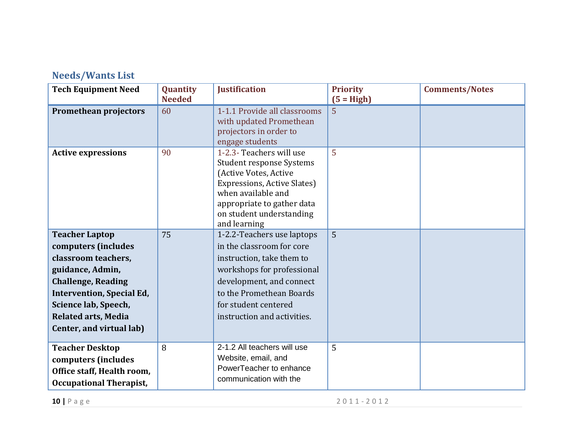# **Needs/Wants List**

| <b>Tech Equipment Need</b>                                                                                                                                                                                                                 | Quantity<br><b>Needed</b> | <b>Justification</b>                                                                                                                                                                                                              | <b>Priority</b><br>$(5 = High)$ | <b>Comments/Notes</b> |
|--------------------------------------------------------------------------------------------------------------------------------------------------------------------------------------------------------------------------------------------|---------------------------|-----------------------------------------------------------------------------------------------------------------------------------------------------------------------------------------------------------------------------------|---------------------------------|-----------------------|
| Promethean projectors                                                                                                                                                                                                                      | 60                        | 1-1.1 Provide all classrooms<br>with updated Promethean<br>projectors in order to<br>engage students                                                                                                                              | $\overline{5}$                  |                       |
| <b>Active expressions</b>                                                                                                                                                                                                                  | 90                        | 1-2.3- Teachers will use<br><b>Student response Systems</b><br>(Active Votes, Active<br>Expressions, Active Slates)<br>when available and<br>appropriate to gather data<br>on student understanding<br>and learning               | 5                               |                       |
| <b>Teacher Laptop</b><br>computers (includes<br>classroom teachers,<br>guidance, Admin,<br><b>Challenge, Reading</b><br><b>Intervention, Special Ed,</b><br>Science lab, Speech,<br><b>Related arts, Media</b><br>Center, and virtual lab) | 75                        | 1-2.2-Teachers use laptops<br>in the classroom for core<br>instruction, take them to<br>workshops for professional<br>development, and connect<br>to the Promethean Boards<br>for student centered<br>instruction and activities. | $\overline{5}$                  |                       |
| <b>Teacher Desktop</b><br>computers (includes<br>Office staff, Health room,<br><b>Occupational Therapist,</b>                                                                                                                              | 8                         | 2-1.2 All teachers will use<br>Website, email, and<br>PowerTeacher to enhance<br>communication with the                                                                                                                           | 5                               |                       |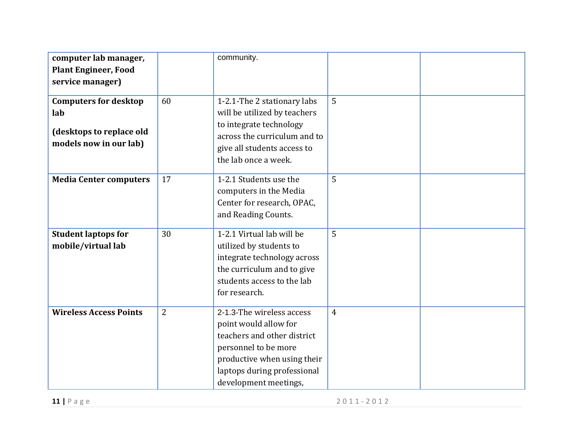| computer lab manager,<br><b>Plant Engineer, Food</b><br>service manager)<br><b>Computers for desktop</b><br>lab<br>(desktops to replace old<br>models now in our lab) | 60             | community.<br>1-2.1-The 2 stationary labs<br>will be utilized by teachers<br>to integrate technology<br>across the curriculum and to<br>give all students access to<br>the lab once a week.      | 5              |  |
|-----------------------------------------------------------------------------------------------------------------------------------------------------------------------|----------------|--------------------------------------------------------------------------------------------------------------------------------------------------------------------------------------------------|----------------|--|
| <b>Media Center computers</b>                                                                                                                                         | 17             | 1-2.1 Students use the<br>computers in the Media<br>Center for research, OPAC,<br>and Reading Counts.                                                                                            | 5              |  |
| <b>Student laptops for</b><br>mobile/virtual lab                                                                                                                      | 30             | 1-2.1 Virtual lab will be<br>utilized by students to<br>integrate technology across<br>the curriculum and to give<br>students access to the lab<br>for research.                                 | 5              |  |
| <b>Wireless Access Points</b>                                                                                                                                         | $\overline{2}$ | 2-1.3-The wireless access<br>point would allow for<br>teachers and other district<br>personnel to be more<br>productive when using their<br>laptops during professional<br>development meetings, | $\overline{4}$ |  |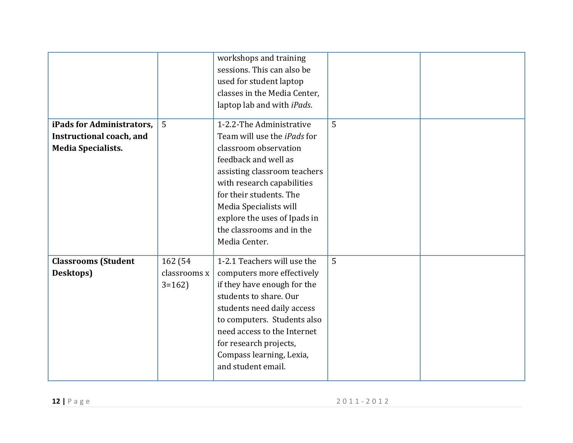|                            |              | workshops and training<br>sessions. This can also be<br>used for student laptop<br>classes in the Media Center,<br>laptop lab and with iPads. |                |  |
|----------------------------|--------------|-----------------------------------------------------------------------------------------------------------------------------------------------|----------------|--|
| iPads for Administrators,  | 5            | 1-2.2-The Administrative                                                                                                                      | $\overline{5}$ |  |
| Instructional coach, and   |              | Team will use the <i>iPads</i> for                                                                                                            |                |  |
| <b>Media Specialists.</b>  |              | classroom observation                                                                                                                         |                |  |
|                            |              | feedback and well as                                                                                                                          |                |  |
|                            |              | assisting classroom teachers                                                                                                                  |                |  |
|                            |              | with research capabilities                                                                                                                    |                |  |
|                            |              | for their students. The                                                                                                                       |                |  |
|                            |              | Media Specialists will                                                                                                                        |                |  |
|                            |              | explore the uses of Ipads in                                                                                                                  |                |  |
|                            |              | the classrooms and in the                                                                                                                     |                |  |
|                            |              | Media Center.                                                                                                                                 |                |  |
| <b>Classrooms (Student</b> | 162 (54      | 1-2.1 Teachers will use the                                                                                                                   | 5              |  |
| Desktops)                  | classrooms x | computers more effectively                                                                                                                    |                |  |
|                            | $3=162$      | if they have enough for the                                                                                                                   |                |  |
|                            |              | students to share. Our                                                                                                                        |                |  |
|                            |              | students need daily access                                                                                                                    |                |  |
|                            |              | to computers. Students also                                                                                                                   |                |  |
|                            |              | need access to the Internet                                                                                                                   |                |  |
|                            |              | for research projects,                                                                                                                        |                |  |
|                            |              | Compass learning, Lexia,                                                                                                                      |                |  |
|                            |              | and student email.                                                                                                                            |                |  |
|                            |              |                                                                                                                                               |                |  |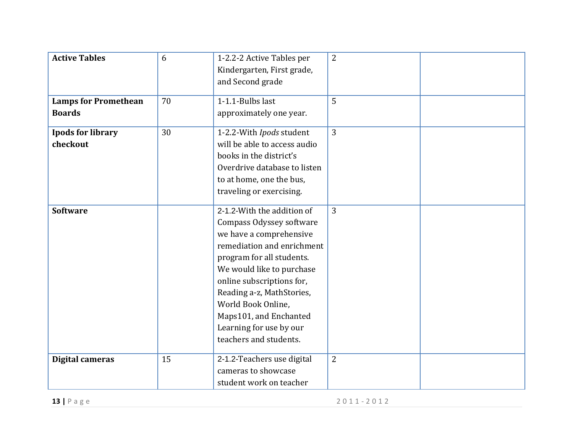| <b>Active Tables</b><br><b>Lamps for Promethean</b><br><b>Boards</b> | 6<br>70 | 1-2.2-2 Active Tables per<br>Kindergarten, First grade,<br>and Second grade<br>1-1.1-Bulbs last<br>approximately one year.                                                                                                                                                                                                               | $\overline{2}$<br>$\overline{5}$ |  |
|----------------------------------------------------------------------|---------|------------------------------------------------------------------------------------------------------------------------------------------------------------------------------------------------------------------------------------------------------------------------------------------------------------------------------------------|----------------------------------|--|
| <b>Ipods for library</b><br>checkout                                 | 30      | 1-2.2-With Ipods student<br>will be able to access audio<br>books in the district's<br>Overdrive database to listen<br>to at home, one the bus,<br>traveling or exercising.                                                                                                                                                              | $\overline{3}$                   |  |
| <b>Software</b>                                                      |         | 2-1.2-With the addition of<br>Compass Odyssey software<br>we have a comprehensive<br>remediation and enrichment<br>program for all students.<br>We would like to purchase<br>online subscriptions for,<br>Reading a-z, MathStories,<br>World Book Online,<br>Maps101, and Enchanted<br>Learning for use by our<br>teachers and students. | $\overline{3}$                   |  |
| Digital cameras                                                      | 15      | 2-1.2-Teachers use digital<br>cameras to showcase<br>student work on teacher                                                                                                                                                                                                                                                             | $\overline{2}$                   |  |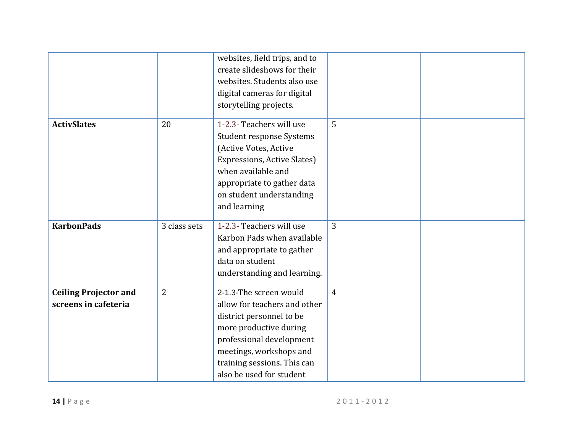|                                                      |                | websites, field trips, and to<br>create slideshows for their<br>websites. Students also use<br>digital cameras for digital<br>storytelling projects.                                                                           |                |  |
|------------------------------------------------------|----------------|--------------------------------------------------------------------------------------------------------------------------------------------------------------------------------------------------------------------------------|----------------|--|
| <b>ActivSlates</b>                                   | 20             | 1-2.3- Teachers will use<br>Student response Systems<br>(Active Votes, Active<br>Expressions, Active Slates)<br>when available and<br>appropriate to gather data<br>on student understanding<br>and learning                   | 5              |  |
| <b>KarbonPads</b>                                    | 3 class sets   | 1-2.3- Teachers will use<br>Karbon Pads when available<br>and appropriate to gather<br>data on student<br>understanding and learning.                                                                                          | $\overline{3}$ |  |
| <b>Ceiling Projector and</b><br>screens in cafeteria | $\overline{2}$ | 2-1.3-The screen would<br>allow for teachers and other<br>district personnel to be<br>more productive during<br>professional development<br>meetings, workshops and<br>training sessions. This can<br>also be used for student | $\overline{4}$ |  |